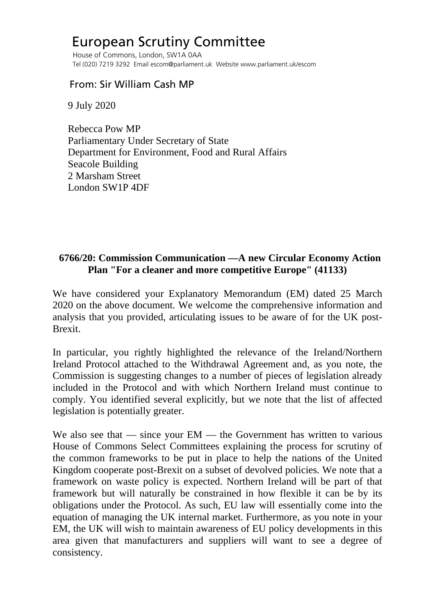## European Scrutiny Committee

 House of Commons, London, SW1A 0AA Tel (020) 7219 3292 Email escom@parliament.uk Website www.parliament.uk/escom

## From: Sir William Cash MP

9 July 2020

 Rebecca Pow MP Parliamentary Under Secretary of State Department for Environment, Food and Rural Affairs Seacole Building 2 Marsham Street London SW1P 4DF

## **6766/20: Commission Communication —A new Circular Economy Action Plan "For a cleaner and more competitive Europe" (41133)**

We have considered your Explanatory Memorandum (EM) dated 25 March 2020 on the above document. We welcome the comprehensive information and analysis that you provided, articulating issues to be aware of for the UK post-Brexit.

In particular, you rightly highlighted the relevance of the Ireland/Northern Ireland Protocol attached to the Withdrawal Agreement and, as you note, the Commission is suggesting changes to a number of pieces of legislation already included in the Protocol and with which Northern Ireland must continue to comply. You identified several explicitly, but we note that the list of affected legislation is potentially greater.

We also see that — since your  $EM$  — the Government has written to various House of Commons Select Committees explaining the process for scrutiny of the common frameworks to be put in place to help the nations of the United Kingdom cooperate post-Brexit on a subset of devolved policies. We note that a framework on waste policy is expected. Northern Ireland will be part of that framework but will naturally be constrained in how flexible it can be by its obligations under the Protocol. As such, EU law will essentially come into the equation of managing the UK internal market. Furthermore, as you note in your EM, the UK will wish to maintain awareness of EU policy developments in this area given that manufacturers and suppliers will want to see a degree of consistency.